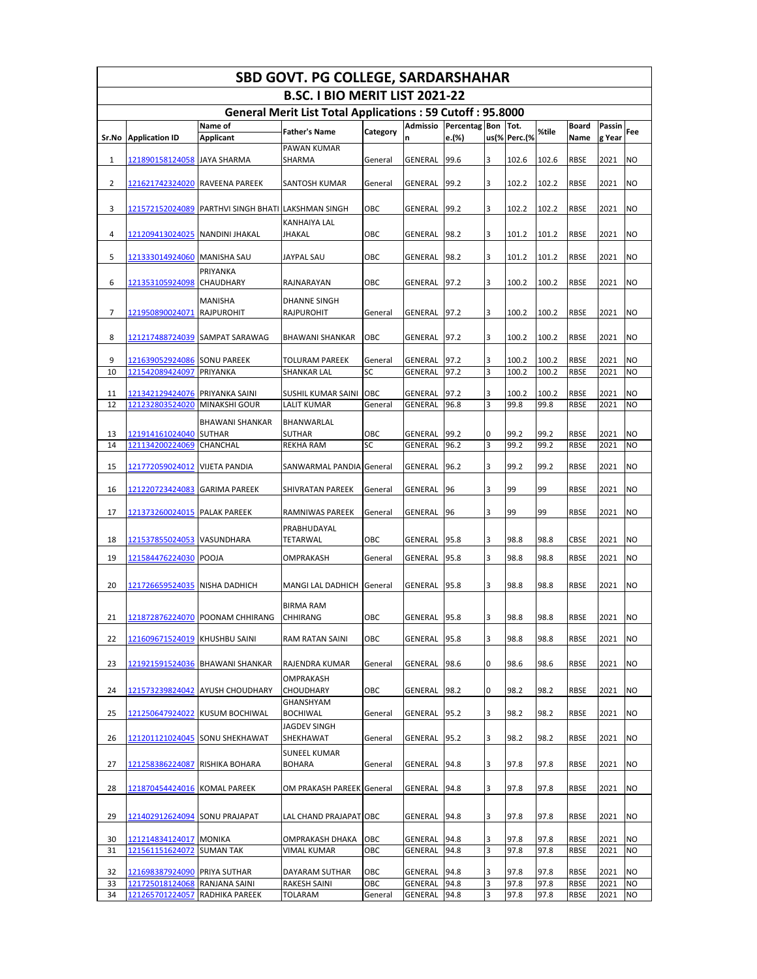|          |                                    |                                         | <b>SBD GOVT. PG COLLEGE, SARDARSHAHAR</b>                        |                |                    |              |          |               |               |                     |              |                        |
|----------|------------------------------------|-----------------------------------------|------------------------------------------------------------------|----------------|--------------------|--------------|----------|---------------|---------------|---------------------|--------------|------------------------|
|          |                                    |                                         | B.SC. I BIO MERIT LIST 2021-22                                   |                |                    |              |          |               |               |                     |              |                        |
|          |                                    |                                         | <b>General Merit List Total Applications: 59 Cutoff: 95.8000</b> |                |                    |              |          |               |               |                     |              |                        |
|          |                                    | Name of                                 | <b>Father's Name</b>                                             | Category       | Admissio           | Percentag    | Bon Tot. |               | %tile         | <b>Board</b>        | Passin       | Fee                    |
| Sr.No    | <b>Application ID</b>              | <b>Applicant</b>                        | PAWAN KUMAR                                                      |                | n                  | e.(%)        |          | us(% Perc.(%  |               | Name                | g Year       |                        |
| 1        | 121890158124058                    | <b>JAYA SHARMA</b>                      | SHARMA                                                           | General        | GENERAL            | 99.6         | 3        | 102.6         | 102.6         | <b>RBSE</b>         | 2021         | <b>NO</b>              |
| 2        | <u>121621742324020</u>             | RAVEENA PAREEK                          | SANTOSH KUMAR                                                    | General        | GENERAL            | 99.2         | 3        | 102.2         | 102.2         | <b>RBSE</b>         | 2021         | <b>NO</b>              |
| 3        | 121572152024089                    | PARTHVI SINGH BHATI                     | <b>LAKSHMAN SINGH</b>                                            | ОВС            | GENERAL            | 99.2         | 3        | 102.2         | 102.2         | <b>RBSE</b>         | 2021         | <b>NO</b>              |
| 4        | 121209413024025                    | NANDINI JHAKAL                          | KANHAIYA LAL<br>JHAKAL                                           | ОВС            | GENERAL            | 98.2         | 3        | 101.2         | 101.2         | <b>RBSE</b>         | 2021         | <b>NO</b>              |
| 5        | 121333014924060                    | <b>MANISHA SAU</b>                      | JAYPAL SAU                                                       | ОВС            | GENERAL            | 98.2         | 3        | 101.2         | 101.2         | <b>RBSE</b>         | 2021         | <b>NO</b>              |
| 6        | 121353105924098                    | PRIYANKA<br><b>CHAUDHARY</b>            | RAJNARAYAN                                                       | ОВС            | GENERAL            | 97.2         | 3        | 100.2         | 100.2         | <b>RBSE</b>         | 2021         | <b>NO</b>              |
| 7        | 121950890024071                    | MANISHA<br><b>RAJPUROHIT</b>            | DHANNE SINGH<br><b>RAJPUROHIT</b>                                | General        | <b>GENERAL</b>     | 97.2         | 3        | 100.2         | 100.2         | <b>RBSE</b>         | 2021         | <b>NO</b>              |
| 8        | 121217488724039                    | SAMPAT SARAWAG                          | BHAWANI SHANKAR                                                  | ОВС            | GENERAL            | 97.2         | 3        | 100.2         | 100.2         | <b>RBSE</b>         | 2021         | <b>NO</b>              |
| 9        | 121639052924086                    | <b>SONU PAREEK</b>                      | TOLURAM PAREEK                                                   | General        | GENERAL            | 97.2         | 3        | 100.2         | 100.2         | RBSE                | 2021         | <b>NO</b>              |
| 10       | 121542089424097                    | PRIYANKA                                | SHANKAR LAL                                                      | SC             | GENERAL            | 97.2         | 3        | 100.2         | 100.2         | <b>RBSE</b>         | 2021         | <b>NO</b>              |
|          |                                    |                                         |                                                                  |                |                    |              |          |               |               |                     |              |                        |
| 11<br>12 | 121342129424076<br>121232803524020 | PRIYANKA SAINI<br><b>MINAKSHI GOUR</b>  | SUSHIL KUMAR SAINI<br>LALIT KUMAR                                | OBC<br>General | GENERAL<br>GENERAL | 97.2<br>96.8 | 3<br>3   | 100.2<br>99.8 | 100.2<br>99.8 | <b>RBSE</b><br>RBSE | 2021<br>2021 | <b>NO</b><br><b>NO</b> |
|          |                                    |                                         |                                                                  |                |                    |              |          |               |               |                     |              |                        |
| 13       | 121914161024040                    | <b>BHAWANI SHANKAR</b><br><b>SUTHAR</b> | BHANWARLAL<br>SUTHAR                                             | ОВС            | GENERAL            | 99.2         | 0        | 99.2          | 99.2          | <b>RBSE</b>         | 2021         | <b>NO</b>              |
| 14       | 121134200224069                    | <b>CHANCHAL</b>                         | <b>REKHA RAM</b>                                                 | SC             | <b>GENERAL</b>     | 96.2         | 3        | 99.2          | 99.2          | <b>RBSE</b>         | 2021         | <b>NO</b>              |
|          |                                    |                                         |                                                                  |                |                    |              |          |               |               |                     |              |                        |
| 15       | 121772059024012                    | <b>VIJETA PANDIA</b>                    | SANWARMAL PANDIA General                                         |                | GENERAL            | 96.2         | 3        | 99.2          | 99.2          | RBSE                | 2021         | <b>NO</b>              |
| 16       | 121220723424083                    | <b>GARIMA PAREEK</b>                    | SHIVRATAN PAREEK                                                 | General        | GENERAL            | 96           | 3        | 99            | 99            | <b>RBSE</b>         | 2021         | <b>NO</b>              |
| 17       | 121373260024015 PALAK PAREEK       |                                         | RAMNIWAS PAREEK                                                  | General        | GENERAL            | 96           | 3        | 99            | 99            | <b>RBSE</b>         | 2021         | <b>NO</b>              |
| 18       | 121537855024053                    | VASUNDHARA                              | PRABHUDAYAL<br>TETARWAL                                          | ОВС            | GENERAL            | 95.8         | 3        | 98.8          | 98.8          | CBSE                | 2021         | <b>NO</b>              |
| 19       | 121584476224030                    | <b>POOJA</b>                            | OMPRAKASH                                                        | General        | <b>GENERAL</b>     | 95.8         | 3        | 98.8          | 98.8          | <b>RBSE</b>         | 2021         | <b>NO</b>              |
| 20       | 121726659524035                    | <b>NISHA DADHICH</b>                    | MANGI LAL DADHICH                                                | General        | GENERAL            | 95.8         | 3        | 98.8          | 98.8          | <b>RBSE</b>         | 2021         | <b>NO</b>              |
|          |                                    |                                         | <b>BIRMA RAM</b>                                                 |                |                    |              |          |               |               |                     |              |                        |
| 21       |                                    | 121872876224070 POONAM CHHIRANG         | CHHIRANG                                                         | OBC            | GENERAL            | 95.8         | 3        | 98.8          | 98.8          | <b>RBSE</b>         | 2021         | <b>NO</b>              |
| 22       | 121609671524019 KHUSHBU SAINI      |                                         | RAM RATAN SAINI                                                  | OBC            | <b>GENERAL</b>     | 95.8         | 3        | 98.8          | 98.8          | RBSE                | 2021         | <b>NO</b>              |
| 23       |                                    | 121921591524036 BHAWANI SHANKAR         | RAJENDRA KUMAR                                                   | General        | GENERAL            | 98.6         | 0        | 98.6          | 98.6          | RBSE                | 2021         | <b>NO</b>              |
| 24       | 121573239824042                    | <b>AYUSH CHOUDHARY</b>                  | OMPRAKASH<br>CHOUDHARY                                           | ОВС            | GENERAL            | 98.2         | 0        | 98.2          | 98.2          | <b>RBSE</b>         | 2021         | <b>NO</b>              |
| 25       | 121250647924022                    | <b>KUSUM BOCHIWAL</b>                   | GHANSHYAM<br><b>BOCHIWAL</b>                                     | General        | <b>GENERAL</b>     | 95.2         | 3        | 98.2          | 98.2          | <b>RBSE</b>         | 2021         | <b>NO</b>              |
| 26       | 121201121024045                    | <b>SONU SHEKHAWAT</b>                   | JAGDEV SINGH<br>SHEKHAWAT                                        | General        | GENERAL            | 95.2         | 3        | 98.2          | 98.2          | RBSE                | 2021         | NO                     |
| 27       | 121258386224087                    | RISHIKA BOHARA                          | <b>SUNEEL KUMAR</b><br><b>BOHARA</b>                             | General        | GENERAL            | 94.8         | 3        | 97.8          | 97.8          | <b>RBSE</b>         | 2021         | <b>NO</b>              |
| 28       | 121870454424016                    | <b>KOMAL PAREEK</b>                     | OM PRAKASH PAREEK General                                        |                | GENERAL            | 94.8         | 3        | 97.8          | 97.8          | RBSE                | 2021         | <b>NO</b>              |
|          |                                    |                                         |                                                                  |                |                    |              |          |               |               |                     |              |                        |
| 29       | 121402912624094                    | <b>SONU PRAJAPAT</b>                    | LAL CHAND PRAJAPAT OBC                                           |                | GENERAL            | 94.8         | 3        | 97.8          | 97.8          | <b>RBSE</b>         | 2021         | <b>NO</b>              |
| 30       | 121214834124017                    | <b>MONIKA</b>                           | <b>OMPRAKASH DHAKA</b>                                           | ОВС            | GENERAL            | 94.8         | 3<br>3   | 97.8          | 97.8          | <b>RBSE</b>         | 2021         | NO                     |
| 31       | 121561151624072                    | <b>SUMAN TAK</b>                        | VIMAL KUMAR                                                      | OBC            | GENERAL            | 94.8         |          | 97.8          | 97.8          | <b>RBSE</b>         | 2021         | <b>NO</b>              |
| 32       | 121698387924090                    | PRIYA SUTHAR                            | DAYARAM SUTHAR                                                   | ОВС            | GENERAL            | 94.8         | 3        | 97.8          | 97.8          | RBSE                | 2021         | N <sub>O</sub>         |
| 33       | 121725018124068                    | RANJANA SAINI                           | <b>RAKESH SAINI</b>                                              | OBC            | GENERAL            | 94.8         | 3        | 97.8          | 97.8          | <b>RBSE</b>         | 2021         | <b>NO</b>              |
| 34       | 121265701224057                    | RADHIKA PAREEK                          | TOLARAM                                                          | General        | GENERAL            | 94.8         | 3        | 97.8          | 97.8          | RBSE                | 2021         | <b>NO</b>              |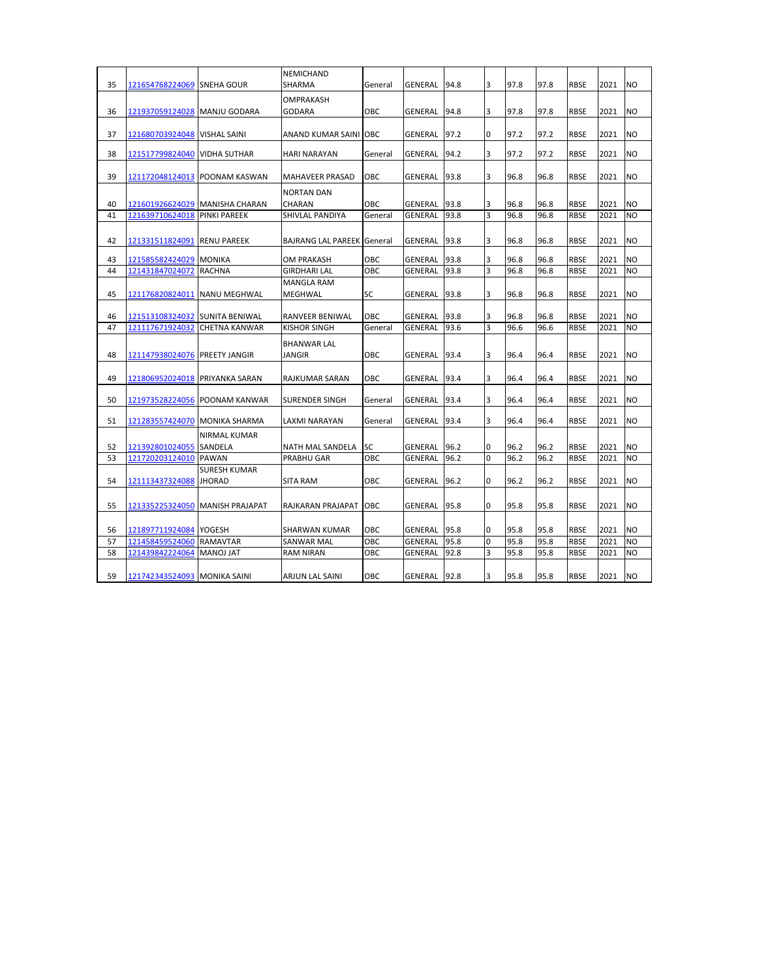|          |                                    |                                               | NEMICHAND                         |            |                           |              |                     |              |              |                            |              |                                  |
|----------|------------------------------------|-----------------------------------------------|-----------------------------------|------------|---------------------------|--------------|---------------------|--------------|--------------|----------------------------|--------------|----------------------------------|
| 35       | 121654768224069                    | <b>SNEHA GOUR</b>                             | SHARMA                            | General    | GENERAL                   | 94.8         | 3                   | 97.8         | 97.8         | <b>RBSE</b>                | 2021         | N <sub>O</sub>                   |
|          |                                    |                                               | OMPRAKASH                         |            |                           |              |                     |              |              |                            |              |                                  |
| 36       | 121937059124028                    | <b>MANJU GODARA</b>                           | <b>GODARA</b>                     | <b>OBC</b> | GENERAL                   | 94.8         | 3                   | 97.8         | 97.8         | <b>RBSE</b>                | 2021         | N <sub>O</sub>                   |
|          |                                    |                                               |                                   |            |                           |              |                     |              |              |                            |              |                                  |
| 37       | 121680703924048  VISHAL SAINI      |                                               | ANAND KUMAR SAINI OBC             |            | GENERAL                   | 97.2         | 0                   | 97.2         | 97.2         | <b>RBSE</b>                | 2021         | N <sub>O</sub>                   |
|          |                                    |                                               |                                   |            |                           |              |                     |              |              |                            |              |                                  |
| 38       | 121517799824040                    | <b>VIDHA SUTHAR</b>                           | <b>HARI NARAYAN</b>               | General    | GENERAL                   | 94.2         | 3                   | 97.2         | 97.2         | <b>RBSE</b>                | 2021         | N <sub>O</sub>                   |
| 39       |                                    | 121172048124013  POONAM KASWAN                | MAHAVEER PRASAD                   | <b>OBC</b> | GENERAL                   | 93.8         | 3                   | 96.8         | 96.8         | <b>RBSE</b>                | 2021         | N <sub>O</sub>                   |
|          |                                    |                                               |                                   |            |                           |              |                     |              |              |                            |              |                                  |
|          |                                    |                                               | <b>NORTAN DAN</b>                 |            |                           |              |                     |              |              |                            |              |                                  |
| 40<br>41 | 121601926624029<br>121639710624018 | MANISHA CHARAN<br><b>PINKI PAREEK</b>         | CHARAN<br>SHIVLAL PANDIYA         | OBC        | <b>GENERAL</b><br>GENERAL | 93.8<br>93.8 | 3<br>$\overline{3}$ | 96.8<br>96.8 | 96.8<br>96.8 | <b>RBSE</b><br><b>RBSE</b> | 2021<br>2021 | <b>NO</b><br>N <sub>O</sub>      |
|          |                                    |                                               |                                   | General    |                           |              |                     |              |              |                            |              |                                  |
|          |                                    |                                               |                                   |            |                           |              | 3                   |              |              |                            |              |                                  |
| 42       | 121331511824091                    | <b>RENU PAREEK</b>                            | <b>BAJRANG LAL PAREEK General</b> |            | GENERAL                   | 93.8         |                     | 96.8         | 96.8         | <b>RBSE</b>                | 2021         | <b>NO</b>                        |
| 43       | 121585582424029                    | <b>MONIKA</b>                                 | OM PRAKASH                        | <b>OBC</b> | GENERAL                   | 93.8         | 3                   | 96.8         | 96.8         | <b>RBSE</b>                | 2021         | N <sub>O</sub>                   |
| 44       | 121431847024072                    | <b>RACHNA</b>                                 | <b>GIRDHARI LAL</b>               | OBC        | GENERAL                   | 93.8         | 3                   | 96.8         | 96.8         | <b>RBSE</b>                | 2021         | N <sub>O</sub>                   |
|          |                                    |                                               | <b>MANGLA RAM</b>                 |            |                           |              |                     |              |              |                            |              |                                  |
| 45       | 121176820824011                    | <b>NANU MEGHWAL</b>                           | MEGHWAL                           | SC         | GENERAL                   | 93.8         | 3                   | 96.8         | 96.8         | <b>RBSE</b>                | 2021         | <b>NO</b>                        |
|          |                                    |                                               |                                   |            |                           |              |                     |              |              |                            |              |                                  |
| 46<br>47 | 121513108324032                    | <b>SUNITA BENIWAL</b><br><b>CHETNA KANWAR</b> | RANVEER BENIWAL                   | OBC        | GENERAL                   | 93.8<br>93.6 | 3<br>3              | 96.8<br>96.6 | 96.8<br>96.6 | <b>RBSE</b><br><b>RBSE</b> | 2021<br>2021 | N <sub>O</sub><br>N <sub>O</sub> |
|          | 121117671924032                    |                                               | <b>KISHOR SINGH</b>               | General    | GENERAL                   |              |                     |              |              |                            |              |                                  |
|          |                                    |                                               | <b>BHANWAR LAL</b>                |            |                           |              |                     |              |              |                            |              |                                  |
| 48       | 121147938024076 PREETY JANGIR      |                                               | <b>JANGIR</b>                     | OBC        | GENERAL                   | 93.4         | 3                   | 96.4         | 96.4         | <b>RBSE</b>                | 2021         | N <sub>O</sub>                   |
|          |                                    |                                               |                                   |            |                           |              |                     |              |              |                            |              |                                  |
| 49       | 121806952024018                    | <b>PRIYANKA SARAN</b>                         | RAJKUMAR SARAN                    | OBC        | GENERAL                   | 93.4         | 3                   | 96.4         | 96.4         | RBSE                       | 2021         | <b>NO</b>                        |
| 50       | 121973528224056                    | <b>POONAM KANWAR</b>                          | SURENDER SINGH                    | General    | GENERAL                   | 93.4         | 3                   | 96.4         | 96.4         | <b>RBSE</b>                | 2021         | N <sub>O</sub>                   |
|          |                                    |                                               |                                   |            |                           |              |                     |              |              |                            |              |                                  |
| 51       | 121283557424070  MONIKA SHARMA     |                                               | LAXMI NARAYAN                     | General    | GENERAL                   | 93.4         | 3                   | 96.4         | 96.4         | <b>RBSE</b>                | 2021         | N <sub>O</sub>                   |
|          |                                    | <b>NIRMAL KUMAR</b>                           |                                   |            |                           |              |                     |              |              |                            |              |                                  |
| 52       | 121392801024055                    | SANDELA                                       | NATH MAL SANDELA                  | <b>SC</b>  | GENERAL                   | 96.2         | 0                   | 96.2         | 96.2         | <b>RBSE</b>                | 2021         | <b>NO</b>                        |
| 53       | 121720203124010                    | <b>PAWAN</b>                                  | <b>PRABHU GAR</b>                 | OBC        | GENERAL                   | 96.2         | $\Omega$            | 96.2         | 96.2         | <b>RBSE</b>                | 2021         | N <sub>O</sub>                   |
|          |                                    | SURESH KUMAR                                  |                                   |            |                           |              |                     |              |              |                            |              |                                  |
| 54       | 121113437324088                    | <b>JHORAD</b>                                 | <b>SITA RAM</b>                   | <b>OBC</b> | GENERAL                   | 96.2         | 0                   | 96.2         | 96.2         | <b>RBSE</b>                | 2021         | <b>NO</b>                        |
|          |                                    |                                               |                                   |            |                           |              |                     |              |              |                            |              |                                  |
| 55       | 121335225324050                    | MANISH PRAJAPAT                               | RAJKARAN PRAJAPAT                 | <b>OBC</b> | GENERAL                   | 95.8         | 0                   | 95.8         | 95.8         | <b>RBSE</b>                | 2021         | N <sub>O</sub>                   |
|          |                                    |                                               |                                   |            |                           |              |                     |              |              |                            |              |                                  |
| 56       | 121897711924084 YOGESH             |                                               | SHARWAN KUMAR                     | OBC        | GENERAL                   | 95.8         | 0                   | 95.8         | 95.8         | <b>RBSE</b>                | 2021         | N <sub>O</sub>                   |
| 57       | 121458459524060                    | RAMAVTAR                                      | SANWAR MAL                        | OBC        | GENERAL                   | 95.8         | 0                   | 95.8         | 95.8         | <b>RBSE</b>                | 2021         | <b>NO</b>                        |
| 58       | 121439842224064                    | <b>MANOJ JAT</b>                              | <b>RAM NIRAN</b>                  | OBC        | GENERAL                   | 92.8         | 3                   | 95.8         | 95.8         | <b>RBSE</b>                | 2021         | <b>NO</b>                        |
|          |                                    |                                               |                                   | OBC        |                           |              |                     |              |              |                            |              | <b>NO</b>                        |
| 59       | 121742343524093 MONIKA SAINI       |                                               | <b>ARJUN LAL SAINI</b>            |            | GENERAL                   | 92.8         | 3                   | 95.8         | 95.8         | <b>RBSE</b>                | 2021         |                                  |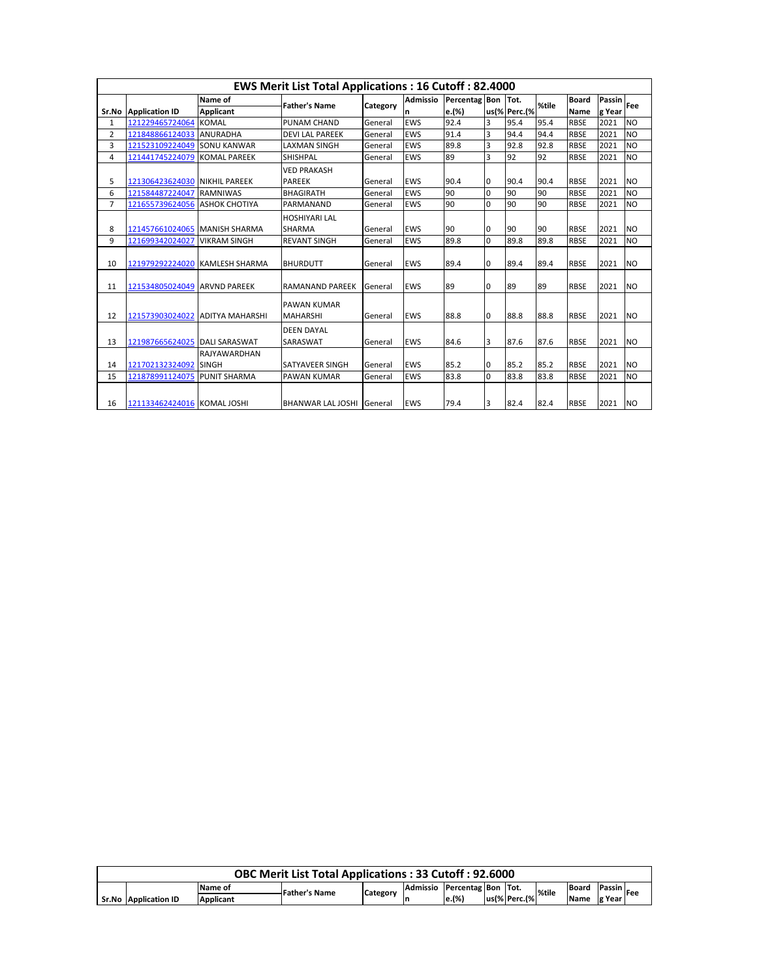|                |                               |                        | <b>EWS Merit List Total Applications: 16 Cutoff: 82.4000</b> |          |                 |           |          |              |       |              |        |                |
|----------------|-------------------------------|------------------------|--------------------------------------------------------------|----------|-----------------|-----------|----------|--------------|-------|--------------|--------|----------------|
|                |                               | Name of                | <b>Father's Name</b>                                         |          | <b>Admissio</b> | Percentag | Bon Tot. |              | %tile | <b>Board</b> | Passin | Fee            |
| Sr.No          | <b>Application ID</b>         | <b>Applicant</b>       |                                                              | Category | n               | e.(%)     |          | us(% Perc.(% |       | Name         | g Year |                |
| 1              | 121229465724064               | <b>KOMAL</b>           | PUNAM CHAND                                                  | General  | <b>EWS</b>      | 92.4      | 3        | 95.4         | 95.4  | <b>RBSE</b>  | 2021   | <b>NO</b>      |
| 2              | 121848866124033               | <b>ANURADHA</b>        | <b>DEVI LAL PAREEK</b>                                       | General  | <b>EWS</b>      | 91.4      | 3        | 94.4         | 94.4  | <b>RBSE</b>  | 2021   | N <sub>O</sub> |
| 3              | 121523109224049               | <b>SONU KANWAR</b>     | <b>LAXMAN SINGH</b>                                          | General  | <b>EWS</b>      | 89.8      | 3        | 92.8         | 92.8  | <b>RBSE</b>  | 2021   | <b>NO</b>      |
| 4              | 121441745224079               | <b>KOMAL PAREEK</b>    | <b>SHISHPAL</b>                                              | General  | <b>EWS</b>      | 89        | 3        | 92           | 92    | <b>RBSE</b>  | 2021   | <b>NO</b>      |
|                |                               |                        | <b>VED PRAKASH</b>                                           |          |                 |           |          |              |       |              |        |                |
| 5              | 121306423624030 NIKHIL PAREEK |                        | <b>PAREEK</b>                                                | General  | <b>EWS</b>      | 90.4      | 0        | 90.4         | 90.4  | <b>RBSE</b>  | 2021   | <b>NO</b>      |
| 6              | 121584487224047               | <b>RAMNIWAS</b>        | <b>BHAGIRATH</b>                                             | General  | <b>EWS</b>      | 90        | $\Omega$ | 90           | 90    | <b>RBSE</b>  | 2021   | N <sub>O</sub> |
| $\overline{7}$ | 121655739624056               | <b>ASHOK CHOTIYA</b>   | PARMANAND                                                    | General  | <b>EWS</b>      | 90        | 0        | 90           | 90    | <b>RBSE</b>  | 2021   | <b>NO</b>      |
|                |                               |                        | <b>HOSHIYARI LAL</b>                                         |          |                 |           |          |              |       |              |        |                |
| 8              | 121457661024065               | MANISH SHARMA          | <b>SHARMA</b>                                                | General  | <b>EWS</b>      | 90        | 0        | 90           | 90    | <b>RBSE</b>  | 2021   | <b>NO</b>      |
| 9              | 121699342024027               | <b>VIKRAM SINGH</b>    | <b>REVANT SINGH</b>                                          | General  | <b>EWS</b>      | 89.8      | $\Omega$ | 89.8         | 89.8  | <b>RBSE</b>  | 2021   | <b>NO</b>      |
| 10             | 121979292224020               | <b>KAMLESH SHARMA</b>  | <b>BHURDUTT</b>                                              | General  | <b>EWS</b>      | 89.4      | 0        | 89.4         | 89.4  | <b>RBSE</b>  | 2021   | <b>NO</b>      |
| 11             | 121534805024049               | <b>ARVND PAREEK</b>    | <b>RAMANAND PAREEK</b>                                       | General  | <b>EWS</b>      | 89        | 0        | 89           | 89    | <b>RBSE</b>  | 2021   | <b>NO</b>      |
| 12             | 121573903024022               | <b>ADITYA MAHARSHI</b> | <b>PAWAN KUMAR</b><br><b>MAHARSHI</b>                        | General  | <b>EWS</b>      | 88.8      | 0        | 88.8         | 88.8  | <b>RBSE</b>  | 2021   | <b>NO</b>      |
| 13             | 121987665624025 DALI SARASWAT |                        | <b>DEEN DAYAL</b><br>SARASWAT                                | General  | <b>EWS</b>      | 84.6      | 3        | 87.6         | 87.6  | <b>RBSE</b>  | 2021   | <b>NO</b>      |
|                |                               | <b>RAJYAWARDHAN</b>    |                                                              |          |                 |           |          |              |       |              |        |                |
| 14             | 121702132324092               | <b>SINGH</b>           | SATYAVEER SINGH                                              | General  | <b>EWS</b>      | 85.2      | 0        | 85.2         | 85.2  | <b>RBSE</b>  | 2021   | <b>NO</b>      |
| 15             | 121878991124075               | <b>PUNIT SHARMA</b>    | <b>PAWAN KUMAR</b>                                           | General  | <b>EWS</b>      | 83.8      | 0        | 83.8         | 83.8  | <b>RBSE</b>  | 2021   | <b>NO</b>      |
| 16             | 121133462424016 KOMAL JOSHI   |                        | <b>BHANWAR LAL JOSHI IGeneral</b>                            |          | <b>EWS</b>      | 79.4      | 3        | 82.4         | 82.4  | <b>RBSE</b>  | 2021   | <b>NO</b>      |

|                                                                                                                             |                  | <b>OBC Merit List Total Applications: 33 Cutoff: 92.6000</b> |  |  |       |  |              |  |             |         |  |  |
|-----------------------------------------------------------------------------------------------------------------------------|------------------|--------------------------------------------------------------|--|--|-------|--|--------------|--|-------------|---------|--|--|
| Admissio Percentag Bon Tot.<br><b>Passin</b><br><b>Board</b><br>Name of<br><b>Father's Name</b><br>%tile<br><b>Category</b> |                  |                                                              |  |  |       |  |              |  |             |         |  |  |
| Sr.No Application ID                                                                                                        | <b>Applicant</b> |                                                              |  |  | e.(%) |  | us(% Perc.(% |  | <b>Name</b> | lg Year |  |  |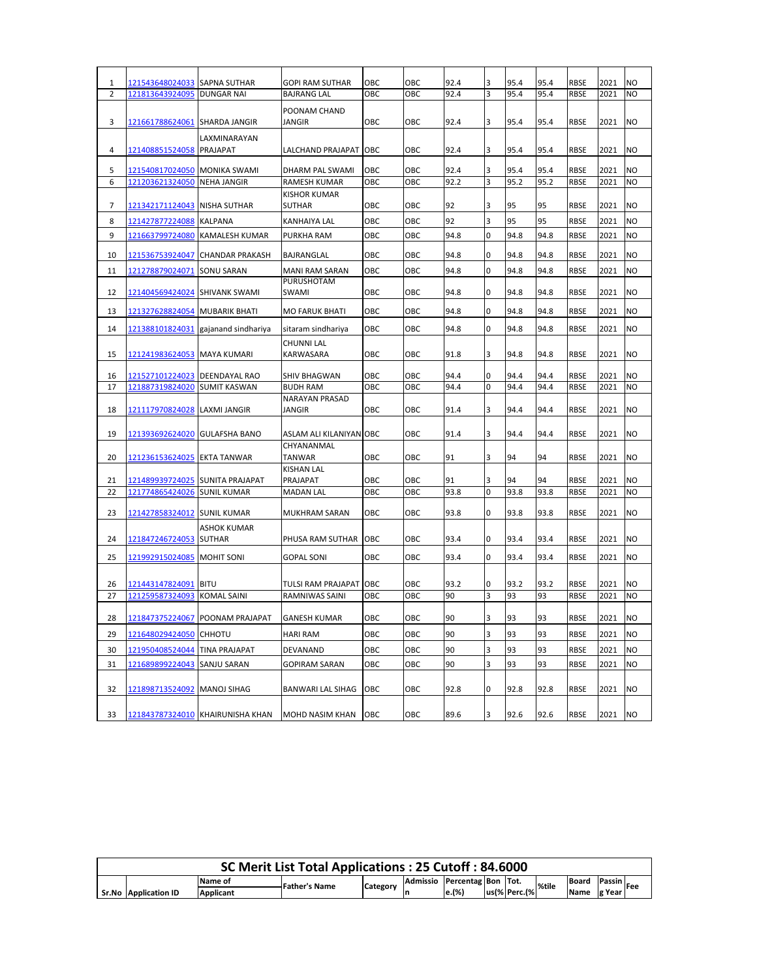| 1              | 121543648024033 SAPNA SUTHAR       |                                  | <b>GOPI RAM SUTHAR</b>                | ОВС        | ОВС | 92.4 | 3        | 95.4 | 95.4 | <b>RBSE</b> | 2021 | NO             |
|----------------|------------------------------------|----------------------------------|---------------------------------------|------------|-----|------|----------|------|------|-------------|------|----------------|
| $\overline{2}$ | 121813643924095                    | <b>DUNGAR NAI</b>                | <b>BAJRANG LAL</b>                    | OBC        | ОВС | 92.4 | 3        | 95.4 | 95.4 | <b>RBSE</b> | 2021 | <b>NO</b>      |
|                |                                    |                                  |                                       |            |     |      |          |      |      |             |      |                |
|                |                                    |                                  | POONAM CHAND                          |            |     |      |          |      |      |             |      |                |
| 3              | 121661788624061 SHARDA JANGIR      |                                  | JANGIR                                | OBC        | OBC | 92.4 | 3        | 95.4 | 95.4 | <b>RBSE</b> | 2021 | <b>NO</b>      |
|                |                                    | LAXMINARAYAN                     |                                       |            |     |      |          |      |      |             |      |                |
| 4              | 121408851524058 PRAJAPAT           |                                  | LALCHAND PRAJAPAT OBC                 |            | OBC | 92.4 | 3        | 95.4 | 95.4 | <b>RBSE</b> | 2021 | <b>NO</b>      |
| 5              | 121540817024050  MONIKA SWAMI      |                                  | DHARM PAL SWAMI                       | OBC        | OBC | 92.4 | 3        | 95.4 | 95.4 | <b>RBSE</b> | 2021 | NO             |
| 6              | 121203621324050 NEHA JANGIR        |                                  | RAMESH KUMAR                          | ОВС        | ОВС | 92.2 | 3        | 95.2 | 95.2 | <b>RBSE</b> | 2021 | N <sub>O</sub> |
|                |                                    |                                  | <b>KISHOR KUMAR</b>                   |            |     |      |          |      |      |             |      |                |
| 7              | 121342171124043  NISHA SUTHAR      |                                  | SUTHAR                                | OBC        | ОВС | 92   | 3        | 95   | 95   | RBSE        | 2021 | N <sub>O</sub> |
|                |                                    |                                  |                                       |            | OBC | 92   | 3        | 95   | 95   | <b>RBSE</b> | 2021 | N <sub>O</sub> |
| 8              | <u>121427877224088</u> KALPANA     |                                  | KANHAIYA LAL                          | OBC        |     |      |          |      |      |             |      |                |
| 9              | 121663799724080                    | <b>KAMALESH KUMAR</b>            | PURKHA RAM                            | ОВС        | ОВС | 94.8 | $\Omega$ | 94.8 | 94.8 | RBSE        | 2021 | N <sub>O</sub> |
| 10             | 121536753924047                    | <b>CHANDAR PRAKASH</b>           | BAJRANGLAL                            | OBC        | OBC | 94.8 | $\Omega$ | 94.8 | 94.8 | <b>RBSE</b> | 2021 | <b>NO</b>      |
| 11             | 121278879024071                    | <b>SONU SARAN</b>                | <b>MANI RAM SARAN</b>                 | OBC        | OBC | 94.8 | $\Omega$ | 94.8 | 94.8 | <b>RBSE</b> | 2021 | <b>NO</b>      |
|                |                                    |                                  | PURUSHOTAM                            |            |     |      |          |      |      |             |      |                |
| 12             | 121404569424024  SHIVANK SWAMI     |                                  | SWAMI                                 | OBC        | OBC | 94.8 | $\Omega$ | 94.8 | 94.8 | <b>RBSE</b> | 2021 | <b>NO</b>      |
|                |                                    |                                  |                                       |            |     |      |          |      |      |             |      |                |
| 13             | 121327628824054                    | <b>MUBARIK BHATI</b>             | <b>MO FARUK BHATI</b>                 | OBC        | OBC | 94.8 | 0        | 94.8 | 94.8 | <b>RBSE</b> | 2021 | <b>NO</b>      |
| 14             | 121388101824031                    | gajanand sindhariya              | sitaram sindhariya                    | OBC        | OBC | 94.8 | $\Omega$ | 94.8 | 94.8 | <b>RBSE</b> | 2021 | <b>NO</b>      |
|                |                                    |                                  | CHUNNI LAL                            |            |     |      |          |      |      |             |      |                |
| 15             | 121241983624053  MAYA KUMARI       |                                  | <b>KARWASARA</b>                      | OBC        | OBC | 91.8 | 3        | 94.8 | 94.8 | RBSE        | 2021 | N <sub>O</sub> |
|                |                                    |                                  |                                       |            |     |      |          |      |      |             |      |                |
| 16             | 121527101224023  DEENDAYAL RAO     |                                  | SHIV BHAGWAN                          | OBC        | OBC | 94.4 | 0        | 94.4 | 94.4 | <b>RBSE</b> | 2021 | <b>NO</b>      |
| 17             | 121887319824020 SUMIT KASWAN       |                                  | <b>BUDH RAM</b>                       | OBC        | ОВС | 94.4 | 0        | 94.4 | 94.4 | <b>RBSE</b> | 2021 | <b>NO</b>      |
|                |                                    |                                  | <b>NARAYAN PRASAD</b>                 |            |     |      |          |      |      |             |      |                |
| 18             | 121117970824028                    | <b>LAXMI JANGIR</b>              | JANGIR                                | OBC        | OBC | 91.4 | 3        | 94.4 | 94.4 | <b>RBSE</b> | 2021 | N <sub>O</sub> |
|                |                                    |                                  |                                       |            |     |      |          |      |      |             |      |                |
| 19             | 121393692624020  GULAFSHA BANO     |                                  | ASLAM ALI KILANIYAN OBC<br>CHYANANMAL |            | OBC | 91.4 | 3        | 94.4 | 94.4 | <b>RBSE</b> | 2021 | <b>NO</b>      |
| 20             | 121236153624025  EKTA TANWAR       |                                  | TANWAR                                | OBC        | OBC | 91   | 3        | 94   | 94   | <b>RBSE</b> | 2021 | <b>NO</b>      |
|                |                                    |                                  | <b>KISHAN LAL</b>                     |            |     |      |          |      |      |             |      |                |
| 21             |                                    | 121489939724025  SUNITA PRAJAPAT | PRAJAPAT                              | ОВС        | OBC | 91   | 3        | 94   | 94   | RBSE        | 2021 | N <sub>O</sub> |
| 22             | <u>121774865424026</u> SUNIL KUMAR |                                  | <b>MADAN LAL</b>                      | OBC        | ОВС | 93.8 | $\Omega$ | 93.8 | 93.8 | <b>RBSE</b> | 2021 | <b>NO</b>      |
|                |                                    |                                  |                                       |            |     |      |          |      |      |             |      |                |
| 23             | 121427858324012 SUNIL KUMAR        |                                  | MUKHRAM SARAN                         | OBC        | OBC | 93.8 | 0        | 93.8 | 93.8 | <b>RBSE</b> | 2021 | N <sub>O</sub> |
|                |                                    | <b>ASHOK KUMAR</b>               |                                       |            |     |      |          |      |      |             |      |                |
| 24             | 121847246724053 SUTHAR             |                                  | PHUSA RAM SUTHAR                      | OBC        | ОВС | 93.4 | 0        | 93.4 | 93.4 | <b>RBSE</b> | 2021 | <b>NO</b>      |
| 25             | 121992915024085 MOHIT SONI         |                                  | <b>GOPAL SONI</b>                     | OBC        | OBC | 93.4 | 0        | 93.4 | 93.4 | <b>RBSE</b> | 2021 | <b>NO</b>      |
|                |                                    |                                  |                                       |            |     |      |          |      |      |             |      |                |
| 26             | 121443147824091                    | <b>BITU</b>                      | TULSI RAM PRAJAPAT OBC                |            | OBC | 93.2 | 0        | 93.2 | 93.2 | <b>RBSE</b> | 2021 | <b>NO</b>      |
| 27             | 121259587324093                    | <b>KOMAL SAINI</b>               | RAMNIWAS SAINI                        | ОВС        | ОВС | 90   | 3        | 93   | 93   | RBSE        | 2021 | <b>NO</b>      |
|                |                                    |                                  |                                       |            |     |      |          |      |      |             |      |                |
| 28             |                                    | 121847375224067 POONAM PRAJAPAT  | <b>GANESH KUMAR</b>                   | OBC        | OBC | 90   | 3        | 93   | 93   | RBSE        | 2021 | <b>NO</b>      |
|                | 121648029424050 CHHOTU             |                                  |                                       |            |     |      | 3        | 93   | 93   |             |      |                |
| 29             |                                    |                                  | HARI RAM                              | OBC        | ОВС | 90   |          |      |      | RBSE        | 2021 | <b>NO</b>      |
| 30             | 121950408524044                    | <b>TINA PRAJAPAT</b>             | DEVANAND                              | ОВС        | OBC | 90   | 3        | 93   | 93   | RBSE        | 2021 | NO.            |
| 31             | 121689899224043                    | SANJU SARAN                      | <b>GOPIRAM SARAN</b>                  | ОВС        | OBC | 90   | 3        | 93   | 93   | <b>RBSE</b> | 2021 | <b>NO</b>      |
|                |                                    |                                  |                                       |            |     |      |          |      |      |             |      |                |
| 32             | 121898713524092                    | <b>MANOJ SIHAG</b>               | <b>BANWARI LAL SIHAG</b>              | OBC        | OBC | 92.8 | 0        | 92.8 | 92.8 | <b>RBSE</b> | 2021 | <b>NO</b>      |
|                |                                    |                                  |                                       |            |     |      |          |      |      |             |      |                |
| 33             |                                    | 121843787324010 KHAIRUNISHA KHAN | MOHD NASIM KHAN                       | <b>OBC</b> | OBC | 89.6 | 3        | 92.6 | 92.6 | <b>RBSE</b> | 2021 | <b>NO</b>      |

|                                                                                                        |                  | SC Merit List Total Applications: 25 Cutoff: 84.6000 |  |  |       |  |              |  |      |         |  |
|--------------------------------------------------------------------------------------------------------|------------------|------------------------------------------------------|--|--|-------|--|--------------|--|------|---------|--|
| Admissio Percentag Bon Tot.<br>Passin<br>Board<br>Name of<br><b>Father's Name</b><br>%tile<br>Category |                  |                                                      |  |  |       |  |              |  |      |         |  |
| Sr.No Application ID                                                                                   | <b>Applicant</b> |                                                      |  |  | e.(%) |  | us(% Perc.(% |  | Name | le Year |  |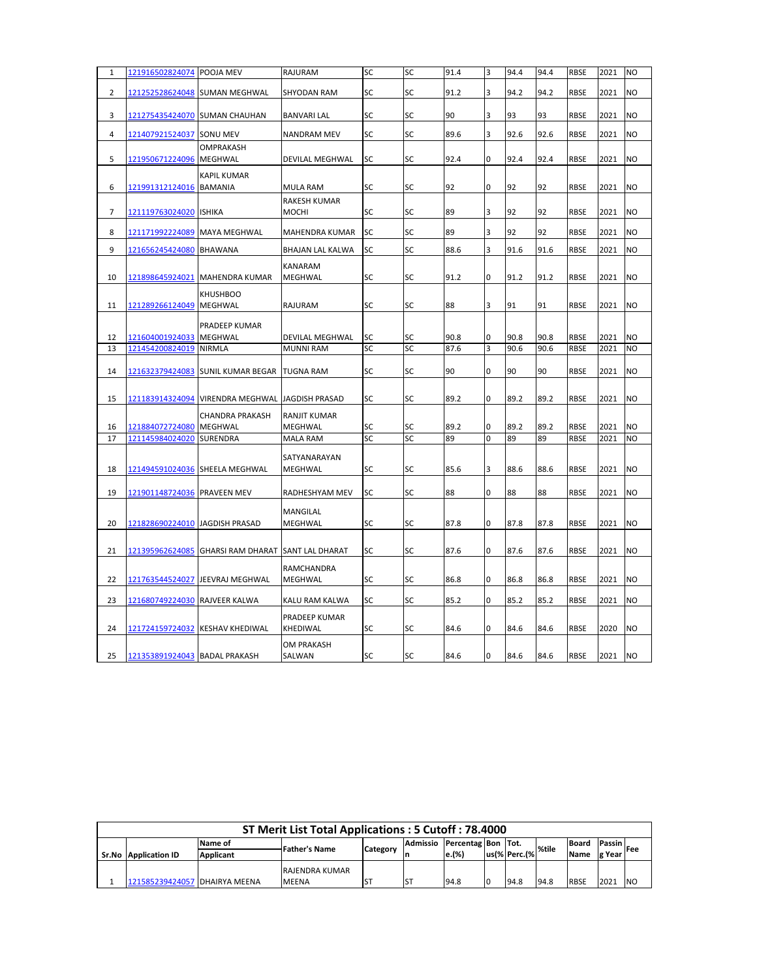| $\mathbf{1}$   | 121916502824074 POOJA MEV      |                                                     | RAJURAM                               | SC        | SC | 91.4 | 3              | 94.4 | 94.4 | <b>RBSE</b> | 2021 | N <sub>O</sub> |
|----------------|--------------------------------|-----------------------------------------------------|---------------------------------------|-----------|----|------|----------------|------|------|-------------|------|----------------|
| $\overline{2}$ |                                | 121252528624048 SUMAN MEGHWAL                       | <b>SHYODAN RAM</b>                    | SC        | SC | 91.2 | 3              | 94.2 | 94.2 | <b>RBSE</b> | 2021 | <b>NO</b>      |
|                |                                |                                                     |                                       |           |    |      |                |      |      |             |      |                |
| 3              |                                | 121275435424070 SUMAN CHAUHAN                       | <b>BANVARI LAL</b>                    | SC        | SC | 90   | 3              | 93   | 93   | <b>RBSE</b> | 2021 | NO             |
| 4              | 121407921524037                | SONU MEV                                            | <b>NANDRAM MEV</b>                    | SC        | SC | 89.6 | 3              | 92.6 | 92.6 | <b>RBSE</b> | 2021 | <b>NO</b>      |
|                |                                | <b>OMPRAKASH</b>                                    |                                       |           |    |      |                |      |      |             |      |                |
| 5              | 121950671224096 MEGHWAL        |                                                     | DEVILAL MEGHWAL                       | SC        | SC | 92.4 | 0              | 92.4 | 92.4 | <b>RBSE</b> | 2021 | <b>NO</b>      |
|                |                                | <b>KAPIL KUMAR</b>                                  |                                       |           |    |      |                |      |      |             |      |                |
| 6              | 121991312124016 BAMANIA        |                                                     | <b>MULA RAM</b>                       | SC        | SC | 92   | O              | 92   | 92   | <b>RBSE</b> | 2021 | <b>NO</b>      |
|                |                                |                                                     | RAKESH KUMAR                          |           |    |      |                |      |      |             |      |                |
| $\overline{7}$ | 121119763024020 ISHIKA         |                                                     | MOCHI                                 | SC        | SC | 89   | 3              | 92   | 92   | <b>RBSE</b> | 2021 | N <sub>O</sub> |
| 8              | 121171992224089 MAYA MEGHWAL   |                                                     | MAHENDRA KUMAR                        | <b>SC</b> | SC | 89   | 3              | 92   | 92   | <b>RBSE</b> | 2021 | N <sub>O</sub> |
| 9              | 121656245424080 BHAWANA        |                                                     | BHAJAN LAL KALWA                      | SC        | SC | 88.6 | 3              | 91.6 | 91.6 | <b>RBSE</b> | 2021 | <b>NO</b>      |
|                |                                |                                                     | <b>KANARAM</b>                        |           |    |      |                |      |      |             |      |                |
| 10             | 121898645924021                | <b>MAHENDRA KUMAR</b>                               | MEGHWAL                               | SC        | SC | 91.2 | 0              | 91.2 | 91.2 | <b>RBSE</b> | 2021 | <b>NO</b>      |
|                |                                | <b>KHUSHBOO</b>                                     |                                       |           |    |      |                |      |      |             |      |                |
| 11             | 121289266124049                | <b>MEGHWAL</b>                                      | RAJURAM                               | SC        | SC | 88   | $\overline{3}$ | 91   | 91   | <b>RBSE</b> | 2021 | <b>NO</b>      |
|                |                                | PRADEEP KUMAR                                       |                                       |           |    |      |                |      |      |             |      |                |
| 12             | 121604001924033 MEGHWAL        |                                                     | DEVILAL MEGHWAL                       | SC        | SC | 90.8 | 0              | 90.8 | 90.8 | <b>RBSE</b> | 2021 | <b>NO</b>      |
| 13             | 121454200824019                | <b>NIRMLA</b>                                       | <b>MUNNI RAM</b>                      | SC        | SC | 87.6 | 3              | 90.6 | 90.6 | <b>RBSE</b> | 2021 | <b>NO</b>      |
| 14             | 121632379424083                | <b>SUNIL KUMAR BEGAR</b>                            | <b>TUGNA RAM</b>                      | SC        | SC | 90   | 0              | 90   | 90   | <b>RBSE</b> | 2021 | <b>NO</b>      |
| 15             |                                | 121183914324094 VIRENDRA MEGHWAL JAGDISH PRASAD     |                                       | SC        | SC | 89.2 | 0              | 89.2 | 89.2 | <b>RBSE</b> | 2021 | <b>NO</b>      |
|                |                                |                                                     |                                       |           |    |      |                |      |      |             |      |                |
| 16             | 121884072724080 MEGHWAL        | <b>CHANDRA PRAKASH</b>                              | <b>RANJIT KUMAR</b><br><b>MEGHWAL</b> | SC        | SC | 89.2 | 0              | 89.2 | 89.2 | <b>RBSE</b> | 2021 | <b>NO</b>      |
| 17             | 121145984024020                | <b>SURENDRA</b>                                     | <b>MALA RAM</b>                       | SC        | SC | 89   | 0              | 89   | 89   | <b>RBSE</b> | 2021 | <b>NO</b>      |
|                |                                |                                                     | SATYANARAYAN                          |           |    |      |                |      |      |             |      |                |
| 18             |                                | <u>121494591024036</u> SHEELA MEGHWAL               | MEGHWAL                               | SC        | SC | 85.6 | 3              | 88.6 | 88.6 | <b>RBSE</b> | 2021 | <b>NO</b>      |
|                |                                |                                                     |                                       |           |    |      |                |      |      |             |      |                |
| 19             | 121901148724036 PRAVEEN MEV    |                                                     | RADHESHYAM MEV                        | SC        | SC | 88   | 0              | 88   | 88   | <b>RBSE</b> | 2021 | <b>NO</b>      |
|                |                                |                                                     | MANGILAL                              |           |    |      |                |      |      |             |      |                |
| 20             | 121828690224010 JAGDISH PRASAD |                                                     | MEGHWAL                               | SC        | SC | 87.8 | 0              | 87.8 | 87.8 | <b>RBSE</b> | 2021 | N <sub>O</sub> |
|                |                                |                                                     |                                       |           |    |      |                |      |      |             |      |                |
| 21             |                                | 121395962624085  GHARSI RAM DHARAT  SANT LAL DHARAT |                                       | SC        | SC | 87.6 | 0              | 87.6 | 87.6 | <b>RBSE</b> | 2021 | <b>NO</b>      |
|                |                                |                                                     | RAMCHANDRA                            |           |    |      |                |      |      |             |      |                |
| 22             | 121763544524027                | JEEVRAJ MEGHWAL                                     | MEGHWAL                               | SC        | SC | 86.8 | 0              | 86.8 | 86.8 | <b>RBSE</b> | 2021 | <b>NO</b>      |
| 23             | 121680749224030 RAJVEER KALWA  |                                                     | KALU RAM KALWA                        | SC        | SC | 85.2 | 0              | 85.2 | 85.2 | <b>RBSE</b> | 2021 | <b>NO</b>      |
|                |                                |                                                     | PRADEEP KUMAR                         |           |    |      |                |      |      |             |      |                |
| 24             | 121724159724032                | <b>KESHAV KHEDIWAL</b>                              | KHEDIWAL                              | SC        | SC | 84.6 | 0              | 84.6 | 84.6 | <b>RBSE</b> | 2020 | <b>NO</b>      |
|                |                                |                                                     | OM PRAKASH                            |           |    |      |                |      |      |             |      |                |
| 25             | 121353891924043 BADAL PRAKASH  |                                                     | SALWAN                                | <b>SC</b> | SC | 84.6 | 0              | 84.6 | 84.6 | <b>RBSE</b> | 2021 | <b>NO</b>      |

|                                                                                                                               |                  | ST Merit List Total Applications: 5 Cutoff: 78.4000 |                 |          |                    |  |              |       |       |               |  |
|-------------------------------------------------------------------------------------------------------------------------------|------------------|-----------------------------------------------------|-----------------|----------|--------------------|--|--------------|-------|-------|---------------|--|
|                                                                                                                               | Name of          | <b>Father's Name</b>                                | <b>Category</b> | Admissio | Percentag Bon Tot. |  |              | %tile | Board | Passin<br>Fee |  |
| <b>Sr.No Application ID</b>                                                                                                   | <b>Applicant</b> |                                                     |                 |          | e.(%)              |  | us(% Perc.(% |       | Name  | g Year        |  |
|                                                                                                                               |                  | <b>RAJENDRA KUMAR</b>                               |                 |          |                    |  |              |       |       |               |  |
| <b>INO</b><br>94.8<br><b>ST</b><br>94.8<br><b>RBSE</b><br>2021<br>İST<br>94.8<br>21585239424057 DHAIRYA MEENA<br><b>MEENA</b> |                  |                                                     |                 |          |                    |  |              |       |       |               |  |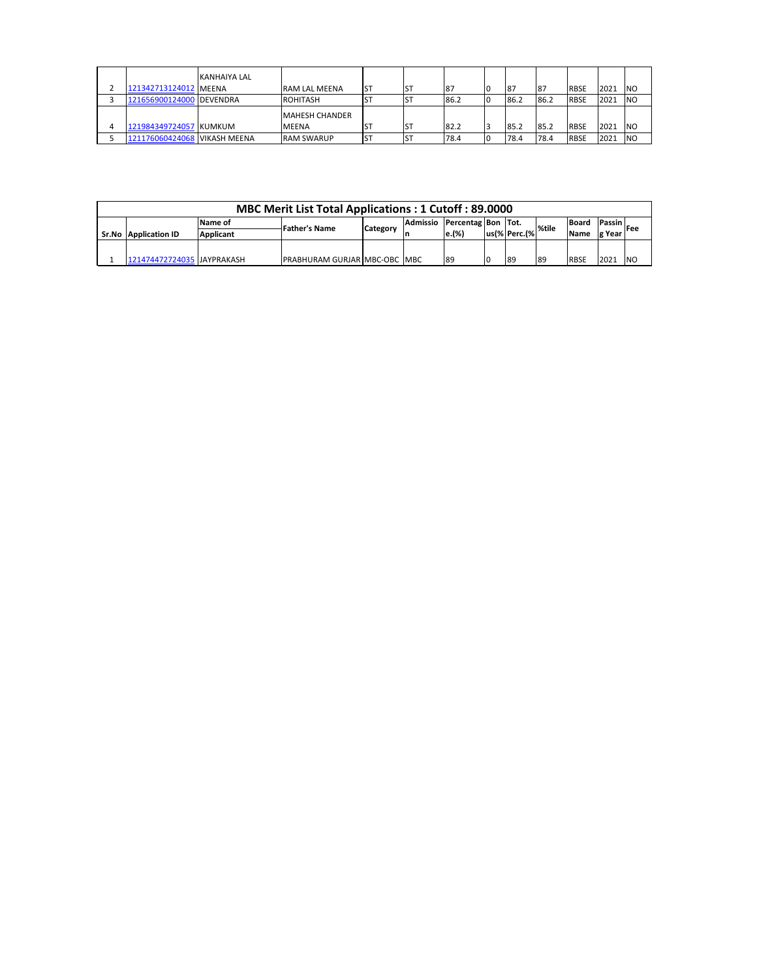| 121342713124012 MEENA        | <b>KANHAIYA LAL</b> | <b>IRAM LAL MEENA</b> | <b>ST</b> | 87   |    | <b>87</b> | 87   | <b>RBSE</b> | 2021 | <b>INO</b> |
|------------------------------|---------------------|-----------------------|-----------|------|----|-----------|------|-------------|------|------------|
| 121656900124000 DEVENDRA     |                     | <b>ROHITASH</b>       | D         | 86.2 |    | 86.2      | 86.2 | <b>RBSE</b> | 2021 | <b>INO</b> |
|                              |                     | <b>MAHESH CHANDER</b> |           |      |    |           |      |             |      |            |
| 121984349724057 KUMKUM       |                     | <b>MEENA</b>          | <b>ST</b> | 82.2 |    | 85.2      | 85.2 | <b>RBSE</b> | 2021 | <b>INO</b> |
| 121176060424068 VIKASH MEENA |                     | <b>RAM SWARUP</b>     | IST       | 78.4 | 10 | 78.4      | 78.4 | <b>RBSE</b> | 2021 | <b>NO</b>  |

|                             |                  | MBC Merit List Total Applications: 1 Cutoff: 89.0000 |          |          |                    |    |                                         |             |               |            |
|-----------------------------|------------------|------------------------------------------------------|----------|----------|--------------------|----|-----------------------------------------|-------------|---------------|------------|
|                             | Name of          | <b>Father's Name</b>                                 |          | Admissio | Percentag Bon Tot. |    |                                         | Board       | Passin        | <b>Fee</b> |
| <b>Sr.No Application ID</b> | <b>Applicant</b> |                                                      | Category |          | e.(%)              |    | $ us \% $ Perc. $ \% $ <sup>%tile</sup> | <b>Name</b> | g Year        |            |
|                             |                  |                                                      |          |          |                    |    |                                         |             |               |            |
| 121474472724035 JAYPRAKASH  |                  | <b>PRABHURAM GURJAR MBC-OBC MBC</b>                  |          |          | 89                 | 89 | -89                                     | <b>RBSE</b> | $202^{\circ}$ | <b>NO</b>  |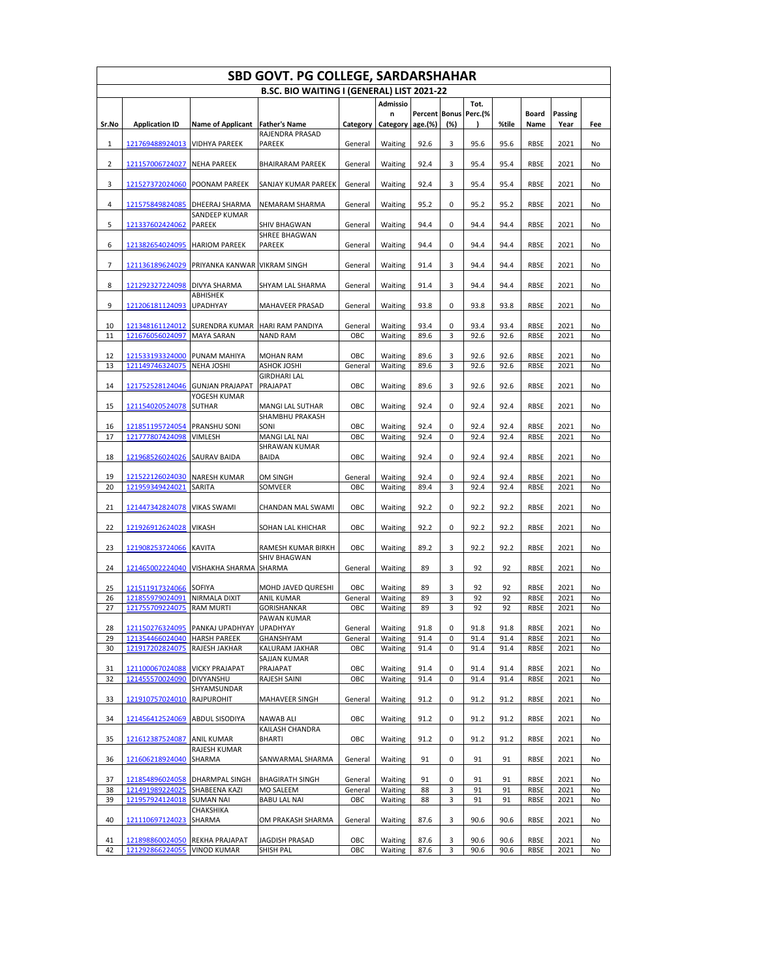|          | <b>SBD GOVT. PG COLLEGE, SARDARSHAHAR</b><br>B.SC. BIO WAITING I (GENERAL) LIST 2021-22 |                                      |                                         |            |                    |                      |        |              |              |                     |              |          |  |  |
|----------|-----------------------------------------------------------------------------------------|--------------------------------------|-----------------------------------------|------------|--------------------|----------------------|--------|--------------|--------------|---------------------|--------------|----------|--|--|
|          |                                                                                         |                                      |                                         |            |                    |                      |        |              |              |                     |              |          |  |  |
|          |                                                                                         |                                      |                                         |            | <b>Admissio</b>    |                      |        | Tot.         |              |                     |              |          |  |  |
|          |                                                                                         |                                      |                                         |            | n                  | <b>Percent Bonus</b> |        | Perc.(%      |              | <b>Board</b>        | Passing      |          |  |  |
| Sr.No    | <b>Application ID</b>                                                                   | <b>Name of Applicant</b>             | <b>Father's Name</b><br>RAJENDRA PRASAD | Category   | Category age.(%)   |                      | (%)    |              | %tile        | Name                | Year         | Fee      |  |  |
| 1        | 121769488924013                                                                         | <b>VIDHYA PAREEK</b>                 | PAREEK                                  | General    | Waiting            | 92.6                 | 3      | 95.6         | 95.6         | <b>RBSE</b>         | 2021         | No       |  |  |
|          |                                                                                         |                                      |                                         |            |                    |                      |        |              |              |                     |              |          |  |  |
| 2        | 121157006724027                                                                         | <b>NEHA PAREEK</b>                   | <b>BHAIRARAM PAREEK</b>                 | General    | Waiting            | 92.4                 | 3      | 95.4         | 95.4         | <b>RBSE</b>         | 2021         | No       |  |  |
| 3        | 121527372024060                                                                         | POONAM PAREEK                        | SANJAY KUMAR PAREEK                     | General    | Waiting            | 92.4                 | 3      | 95.4         | 95.4         | <b>RBSE</b>         | 2021         | No       |  |  |
|          |                                                                                         |                                      |                                         |            |                    |                      |        |              |              |                     |              |          |  |  |
| 4        | 121575849824085                                                                         | DHEERAJ SHARMA                       | <b>NEMARAM SHARMA</b>                   | General    | Waiting            | 95.2                 | 0      | 95.2         | 95.2         | <b>RBSE</b>         | 2021         | No       |  |  |
| 5        | 121337602424062                                                                         | SANDEEP KUMAR<br><b>PAREEK</b>       | SHIV BHAGWAN                            | General    | Waiting            | 94.4                 | 0      | 94.4         | 94.4         | <b>RBSE</b>         | 2021         | No       |  |  |
|          |                                                                                         |                                      | SHREE BHAGWAN                           |            |                    |                      |        |              |              |                     |              |          |  |  |
| 6        | 121382654024095                                                                         | <b>HARIOM PAREEK</b>                 | PAREEK                                  | General    | Waiting            | 94.4                 | 0      | 94.4         | 94.4         | <b>RBSE</b>         | 2021         | No       |  |  |
| 7        | 121136189624029                                                                         | PRIYANKA KANWAR VIKRAM SINGH         |                                         | General    | Waiting            | 91.4                 | 3      | 94.4         | 94.4         | <b>RBSE</b>         | 2021         | No       |  |  |
|          |                                                                                         |                                      |                                         |            |                    |                      |        |              |              |                     |              |          |  |  |
| 8        | 121292327224098                                                                         | <b>DIVYA SHARMA</b>                  | SHYAM LAL SHARMA                        | General    | Waiting            | 91.4                 | 3      | 94.4         | 94.4         | <b>RBSE</b>         | 2021         | No       |  |  |
|          |                                                                                         | ABHISHEK                             |                                         |            |                    |                      | 0      |              |              | <b>RBSE</b>         |              |          |  |  |
| 9        | 121206181124093                                                                         | <b>UPADHYAY</b>                      | MAHAVEER PRASAD                         | General    | Waiting            | 93.8                 |        | 93.8         | 93.8         |                     | 2021         | No       |  |  |
| 10       | 121348161124012                                                                         | SURENDRA KUMAR HARI RAM PANDIYA      |                                         | General    | Waiting            | 93.4                 | 0      | 93.4         | 93.4         | <b>RBSE</b>         | 2021         | No       |  |  |
| 11       | 121676056024097                                                                         | <b>MAYA SARAN</b>                    | <b>NAND RAM</b>                         | ОВС        | Waiting            | 89.6                 | 3      | 92.6         | 92.6         | <b>RBSE</b>         | 2021         | No       |  |  |
| 12       | 121533193324000                                                                         | PUNAM MAHIYA                         | <b>MOHAN RAM</b>                        | OBC        | Waiting            | 89.6                 | 3      | 92.6         | 92.6         | RBSE                | 2021         | No       |  |  |
| 13       | 121149746324075                                                                         | <b>NEHA JOSHI</b>                    | ASHOK JOSHI                             | General    | Waiting            | 89.6                 | 3      | 92.6         | 92.6         | <b>RBSE</b>         | 2021         | No       |  |  |
|          |                                                                                         |                                      | <b>GIRDHARI LAL</b>                     |            |                    |                      |        |              |              |                     |              |          |  |  |
| 14       | 121752528124046                                                                         | <b>GUNJAN PRAJAPAT</b>               | PRAJAPAT                                | OBC        | Waiting            | 89.6                 | 3      | 92.6         | 92.6         | <b>RBSE</b>         | 2021         | No       |  |  |
| 15       | 121154020524078                                                                         | YOGESH KUMAR<br><b>SUTHAR</b>        | MANGI LAL SUTHAR                        | OBC        | Waiting            | 92.4                 | 0      | 92.4         | 92.4         | <b>RBSE</b>         | 2021         | No       |  |  |
|          |                                                                                         |                                      | SHAMBHU PRAKASH                         |            |                    |                      |        |              |              |                     |              |          |  |  |
| 16       | 121851195724054                                                                         | <b>PRANSHU SONI</b>                  | SONI                                    | OBC        | Waiting            | 92.4                 | 0      | 92.4         | 92.4         | <b>RBSE</b>         | 2021         | No       |  |  |
| 17       | 121777807424098                                                                         | <b>VIMLESH</b>                       | MANGI LAL NAI                           | OBC        | Waiting            | 92.4                 | 0      | 92.4         | 92.4         | <b>RBSE</b>         | 2021         | No       |  |  |
| 18       | 121968526024026                                                                         | <b>SAURAV BAIDA</b>                  | SHRAWAN KUMAR<br><b>BAIDA</b>           | OBC        | Waiting            | 92.4                 | 0      | 92.4         | 92.4         | <b>RBSE</b>         | 2021         | No       |  |  |
|          |                                                                                         |                                      |                                         |            |                    |                      |        |              |              |                     |              |          |  |  |
| 19       | 121522126024030                                                                         | <b>NARESH KUMAR</b>                  | OM SINGH                                | General    | Waiting            | 92.4                 | 0      | 92.4         | 92.4         | <b>RBSE</b>         | 2021         | No       |  |  |
| 20       | 121959349424021                                                                         | SARITA                               | SOMVEER                                 | OBC        | Waiting            | 89.4                 | 3      | 92.4         | 92.4         | <b>RBSE</b>         | 2021         | No       |  |  |
| 21       | 121447342824078                                                                         | <b>VIKAS SWAMI</b>                   | CHANDAN MAL SWAMI                       | OBC        | Waiting            | 92.2                 | 0      | 92.2         | 92.2         | <b>RBSE</b>         | 2021         | No       |  |  |
|          |                                                                                         |                                      |                                         |            |                    |                      |        |              |              |                     |              |          |  |  |
| 22       | 121926912624028                                                                         | <b>VIKASH</b>                        | SOHAN LAL KHICHAR                       | OBC        | Waiting            | 92.2                 | 0      | 92.2         | 92.2         | <b>RBSE</b>         | 2021         | No       |  |  |
| 23       | 121908253724066                                                                         | <b>KAVITA</b>                        | RAMESH KUMAR BIRKH                      | OBC        | Waiting            | 89.2                 | 3      | 92.2         | 92.2         | <b>RBSE</b>         | 2021         | No       |  |  |
|          |                                                                                         |                                      | <b>SHIV BHAGWAN</b>                     |            |                    |                      |        |              |              |                     |              |          |  |  |
| 24       |                                                                                         | 121465002224040 VISHAKHA SHARMA      | <b>SHARMA</b>                           | General    | Waiting            | 89                   | 3      | 92           | 92           | <b>RBSE</b>         | 2021         | No       |  |  |
| 25       | 121511917324066                                                                         | <b>SOFIYA</b>                        | MOHD JAVED QURESHI                      | OBC        | Waiting            | 89                   | 3      | 92           | 92           | <b>RBSE</b>         | 2021         | No       |  |  |
| 26       | 121855979024091                                                                         | NIRMALA DIXIT                        | ANIL KUMAR                              | General    | Waiting            | 89                   | 3      | 92           | 92           | <b>RBSE</b>         | 2021         | No       |  |  |
| 27       | 121755709224075                                                                         | <b>RAM MURTI</b>                     | GORISHANKAR                             | OBC        | Waiting            | 89                   | 3      | 92           | 92           | <b>RBSE</b>         | 2021         | No       |  |  |
| 28       | 121150276324095                                                                         | PANKAJ UPADHYAY UPADHYAY             | PAWAN KUMAR                             | General    | Waiting            | 91.8                 | 0      | 91.8         | 91.8         | <b>RBSE</b>         | 2021         | No       |  |  |
| 29       | 121354466024040                                                                         | <b>HARSH PAREEK</b>                  | GHANSHYAM                               | General    | Waiting            | 91.4                 | 0      | 91.4         | 91.4         | <b>RBSE</b>         | 2021         | No       |  |  |
| 30       | 121917202824075                                                                         | RAJESH JAKHAR                        | KALURAM JAKHAR                          | OBC        | Waiting            | 91.4                 | 0      | 91.4         | 91.4         | <b>RBSE</b>         | 2021         | No       |  |  |
|          |                                                                                         |                                      | SAJJAN KUMAR                            |            |                    |                      |        |              |              |                     |              |          |  |  |
| 31<br>32 | 121100067024088<br>121455570024090                                                      | <b>VICKY PRAJAPAT</b><br>DIVYANSHU   | PRAJAPAT<br>RAJESH SAINI                | OBC<br>OBC | Waiting<br>Waiting | 91.4<br>91.4         | 0<br>0 | 91.4<br>91.4 | 91.4<br>91.4 | RBSE<br><b>RBSE</b> | 2021<br>2021 | No<br>No |  |  |
|          |                                                                                         | SHYAMSUNDAR                          |                                         |            |                    |                      |        |              |              |                     |              |          |  |  |
| 33       | 121910757024010                                                                         | RAJPUROHIT                           | MAHAVEER SINGH                          | General    | Waiting            | 91.2                 | 0      | 91.2         | 91.2         | <b>RBSE</b>         | 2021         | No       |  |  |
| 34       | 121456412524069                                                                         | ABDUL SISODIYA                       | NAWAB ALI                               | OBC        | Waiting            | 91.2                 | 0      | 91.2         | 91.2         | RBSE                | 2021         | No       |  |  |
|          |                                                                                         |                                      | KAILASH CHANDRA                         |            |                    |                      |        |              |              |                     |              |          |  |  |
| 35       | 121612387524087                                                                         | <b>ANIL KUMAR</b>                    | BHARTI                                  | OBC        | Waiting            | 91.2                 | 0      | 91.2         | 91.2         | <b>RBSE</b>         | 2021         | No       |  |  |
|          |                                                                                         | RAJESH KUMAR                         |                                         |            |                    |                      |        |              |              |                     |              |          |  |  |
| 36       | 121606218924040                                                                         | SHARMA                               | SANWARMAL SHARMA                        | General    | Waiting            | 91                   | 0      | 91           | 91           | <b>RBSE</b>         | 2021         | No       |  |  |
| 37       | 121854896024058                                                                         | DHARMPAL SINGH                       | <b>BHAGIRATH SINGH</b>                  | General    | Waiting            | 91                   | 0      | 91           | 91           | RBSE                | 2021         | No       |  |  |
| 38       | 121491989224025                                                                         | SHABEENA KAZI                        | MO SALEEM                               | General    | Waiting            | 88                   | 3      | 91           | 91           | <b>RBSE</b>         | 2021         | No       |  |  |
| 39       | 121957924124018                                                                         | <b>SUMAN NAI</b><br>CHAKSHIKA        | <b>BABU LAL NAI</b>                     | OBC        | Waiting            | 88                   | 3      | 91           | 91           | <b>RBSE</b>         | 2021         | No       |  |  |
| 40       | 121110697124023                                                                         | SHARMA                               | OM PRAKASH SHARMA                       | General    | Waiting            | 87.6                 | 3      | 90.6         | 90.6         | <b>RBSE</b>         | 2021         | No       |  |  |
|          |                                                                                         |                                      |                                         |            |                    |                      |        |              |              |                     |              |          |  |  |
| 41<br>42 | 121898860024050<br>121292866224055                                                      | REKHA PRAJAPAT<br><b>VINOD KUMAR</b> | JAGDISH PRASAD                          | OBC        | Waiting            | 87.6                 | 3<br>3 | 90.6         | 90.6         | <b>RBSE</b><br>RBSE | 2021         | No       |  |  |
|          |                                                                                         |                                      | SHISH PAL                               | OBC        | Waiting            | 87.6                 |        | 90.6         | 90.6         |                     | 2021         | No       |  |  |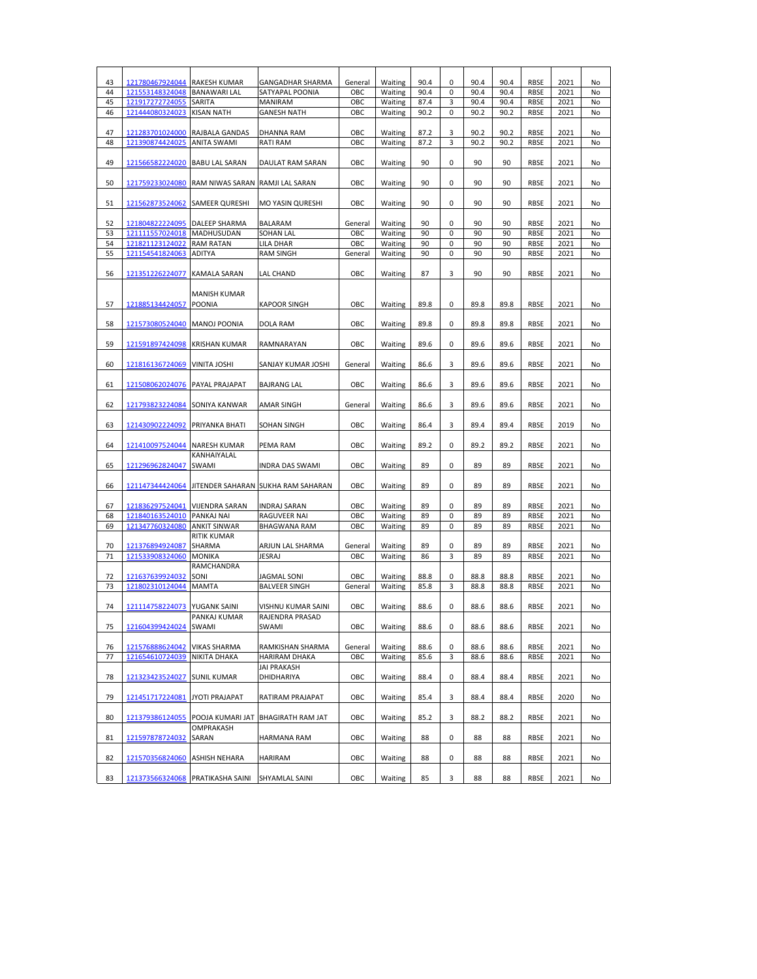| 43 | 121780467924044 RAKESH KUMAR     |                                                 | <b>GANGADHAR SHARMA</b>                            | General | Waiting | 90.4 | 0 | 90.4 | 90.4 | RBSE | 2021 | No |
|----|----------------------------------|-------------------------------------------------|----------------------------------------------------|---------|---------|------|---|------|------|------|------|----|
| 44 | 121553148324048                  | <b>BANAWARI LAL</b>                             | SATYAPAL POONIA                                    | OBC     | Waiting | 90.4 | 0 | 90.4 | 90.4 | RBSE | 2021 | No |
| 45 | 121917272724055                  | SARITA                                          | MANIRAM                                            | OBC     | Waiting | 87.4 | 3 | 90.4 | 90.4 | RBSE | 2021 | No |
| 46 | 121444080324023                  | <b>KISAN NATH</b>                               | <b>GANESH NATH</b>                                 | ОВС     | Waiting | 90.2 | 0 | 90.2 | 90.2 | RBSE | 2021 | No |
|    |                                  |                                                 |                                                    |         |         |      |   |      |      |      |      |    |
| 47 | 121283701024000 RAJBALA GANDAS   |                                                 | DHANNA RAM                                         | OBC     | Waiting | 87.2 | 3 | 90.2 | 90.2 | RBSE | 2021 | No |
| 48 | 121390874424025                  | <b>ANITA SWAMI</b>                              | <b>RATI RAM</b>                                    | OBC     | Waiting | 87.2 | 3 | 90.2 | 90.2 | RBSE | 2021 | No |
| 49 | 121566582224020 BABU LAL SARAN   |                                                 | DAULAT RAM SARAN                                   | OBC     | Waiting | 90   | 0 | 90   | 90   | RBSE | 2021 | No |
|    |                                  |                                                 |                                                    |         |         |      |   |      |      |      |      |    |
| 50 |                                  | 121759233024080 RAM NIWAS SARAN RAMJI LAL SARAN |                                                    | ОВС     | Waiting | 90   | 0 | 90   | 90   | RBSE | 2021 | No |
|    |                                  |                                                 |                                                    |         |         |      |   |      |      |      |      |    |
| 51 | 121562873524062 SAMEER QURESHI   |                                                 | <b>MO YASIN QURESHI</b>                            | OBC     | Waiting | 90   | 0 | 90   | 90   | RBSE | 2021 | No |
|    |                                  |                                                 |                                                    |         |         |      |   |      |      |      |      |    |
| 52 | 121804822224095 DALEEP SHARMA    |                                                 | BALARAM                                            | General | Waiting | 90   | 0 | 90   | 90   | RBSE | 2021 | No |
| 53 | 121111557024018                  | MADHUSUDAN                                      | SOHAN LAL                                          | OBC     | Waiting | 90   | 0 | 90   | 90   | RBSE | 2021 | No |
| 54 | 121821123124022                  | <b>RAM RATAN</b>                                | LILA DHAR                                          | OBC     | Waiting | 90   | 0 | 90   | 90   | RBSE | 2021 | No |
| 55 | 121154541824063                  | ADITYA                                          | <b>RAM SINGH</b>                                   | General | Waiting | 90   | 0 | 90   | 90   | RBSE | 2021 | No |
| 56 | 121351226224077                  | <b>KAMALA SARAN</b>                             | LAL CHAND                                          | OBC     | Waiting | 87   | 3 | 90   | 90   | RBSE | 2021 | No |
|    |                                  |                                                 |                                                    |         |         |      |   |      |      |      |      |    |
|    |                                  | <b>MANISH KUMAR</b>                             |                                                    |         |         |      |   |      |      |      |      |    |
| 57 | 121885134424057 POONIA           |                                                 | <b>KAPOOR SINGH</b>                                | OBC     | Waiting | 89.8 | 0 | 89.8 | 89.8 | RBSE | 2021 | No |
|    |                                  |                                                 |                                                    |         |         |      |   |      |      |      |      |    |
| 58 | 121573080524040 MANOJ POONIA     |                                                 | <b>DOLA RAM</b>                                    | ОВС     | Waiting | 89.8 | 0 | 89.8 | 89.8 | RBSE | 2021 | No |
|    |                                  |                                                 |                                                    |         |         |      |   |      |      |      |      |    |
| 59 | 121591897424098 KRISHAN KUMAR    |                                                 | RAMNARAYAN                                         | ОВС     | Waiting | 89.6 | 0 | 89.6 | 89.6 | RBSE | 2021 | No |
|    |                                  |                                                 |                                                    |         |         |      |   |      |      |      |      |    |
| 60 | 121816136724069 VINITA JOSHI     |                                                 | SANJAY KUMAR JOSHI                                 | General | Waiting | 86.6 | 3 | 89.6 | 89.6 | RBSE | 2021 | No |
| 61 | 121508062024076 PAYAL PRAJAPAT   |                                                 | <b>BAJRANG LAL</b>                                 | OBC     | Waiting | 86.6 | 3 | 89.6 | 89.6 | RBSE | 2021 | No |
|    |                                  |                                                 |                                                    |         |         |      |   |      |      |      |      |    |
| 62 | 121793823224084 SONIYA KANWAR    |                                                 | AMAR SINGH                                         | General | Waiting | 86.6 | 3 | 89.6 | 89.6 | RBSE | 2021 | No |
|    |                                  |                                                 |                                                    |         |         |      |   |      |      |      |      |    |
| 63 | 121430902224092 PRIYANKA BHATI   |                                                 | SOHAN SINGH                                        | OBC     | Waiting | 86.4 | 3 | 89.4 | 89.4 | RBSE | 2019 | No |
|    |                                  |                                                 |                                                    |         |         |      |   |      |      |      |      |    |
| 64 | 121410097524044 NARESH KUMAR     |                                                 | PEMA RAM                                           | OBC     | Waiting | 89.2 | 0 | 89.2 | 89.2 | RBSE | 2021 | No |
|    |                                  | KANHAIYALAL                                     |                                                    |         |         |      |   |      |      |      |      |    |
| 65 | 121296962824047                  | SWAMI                                           | INDRA DAS SWAMI                                    | OBC     | Waiting | 89   | 0 | 89   | 89   | RBSE | 2021 | No |
|    |                                  |                                                 |                                                    | OBC     |         |      |   |      | 89   | RBSE | 2021 |    |
| 66 |                                  |                                                 | 121147344424064 JITENDER SAHARAN SUKHA RAM SAHARAN |         | Waiting | 89   | 0 | 89   |      |      |      | No |
| 67 | 121836297524041 VIJENDRA SARAN   |                                                 | <b>INDRAJ SARAN</b>                                | ОВС     | Waiting | 89   | 0 | 89   | 89   | RBSE | 2021 | No |
| 68 | 121840163524010 PANKAJ NAI       |                                                 | RAGUVEER NAI                                       | OBC     | Waiting | 89   | 0 | 89   | 89   | RBSE | 2021 | No |
| 69 | 121347760324080                  | <b>ANKIT SINWAR</b>                             | <b>BHAGWANA RAM</b>                                | OBC     | Waiting | 89   | 0 | 89   | 89   | RBSE | 2021 | No |
|    |                                  | <b>RITIK KUMAR</b>                              |                                                    |         |         |      |   |      |      |      |      |    |
| 70 | 121376894924087                  | SHARMA                                          | ARJUN LAL SHARMA                                   | General | Waiting | 89   | 0 | 89   | 89   | RBSE | 2021 | No |
| 71 | 121533908324060                  | <b>MONIKA</b>                                   | JESRAJ                                             | OBC     | Waiting | 86   | 3 | 89   | 89   | RBSE | 2021 | No |
|    |                                  | <b>RAMCHANDRA</b>                               |                                                    |         |         |      |   |      |      |      |      |    |
| 72 | 121637639924032                  | SONI                                            | JAGMAL SONI                                        | ОВС     | Waiting | 88.8 | 0 | 88.8 | 88.8 | RBSE | 2021 | No |
| 73 | 121802310124044                  | <b>MAMTA</b>                                    | <b>BALVEER SINGH</b>                               | General | Waiting | 85.8 | 3 | 88.8 | 88.8 | RBSE | 2021 | No |
| 74 | 121114758224073 YUGANK SAINI     |                                                 |                                                    | ОВС     |         | 88.6 | 0 | 88.6 | 88.6 | RBSE | 2021 | No |
|    |                                  | PANKAJ KUMAR                                    | VISHNU KUMAR SAINI<br>RAJENDRA PRASAD              |         | Waiting |      |   |      |      |      |      |    |
| 75 | 121604399424024 SWAMI            |                                                 | SWAMI                                              | OBC     | Waiting | 88.6 | 0 | 88.6 | 88.6 | RBSE | 2021 | No |
|    |                                  |                                                 |                                                    |         |         |      |   |      |      |      |      |    |
| 76 | 121576888624042                  | <b>VIKAS SHARMA</b>                             | RAMKISHAN SHARMA                                   | General | Waiting | 88.6 | 0 | 88.6 | 88.6 | RBSE | 2021 | No |
| 77 | 121654610724039                  | NIKITA DHAKA                                    | HARIRAM DHAKA                                      | OBC     | Waiting | 85.6 | 3 | 88.6 | 88.6 | RBSE | 2021 | No |
|    |                                  |                                                 | <b>JAI PRAKASH</b>                                 |         |         |      |   |      |      |      |      |    |
| 78 | 121323423524027 SUNIL KUMAR      |                                                 | DHIDHARIYA                                         | OBC     | Waiting | 88.4 | 0 | 88.4 | 88.4 | RBSE | 2021 | No |
|    |                                  |                                                 |                                                    |         |         |      |   |      |      |      |      |    |
| 79 | 121451717224081                  | JYOTI PRAJAPAT                                  | RATIRAM PRAJAPAT                                   | OBC     | Waiting | 85.4 | 3 | 88.4 | 88.4 | RBSE | 2020 | No |
| 80 |                                  |                                                 | 121379386124055 POOJA KUMARI JAT BHAGIRATH RAM JAT | OBC     |         | 85.2 | 3 | 88.2 | 88.2 | RBSE | 2021 | No |
|    |                                  | OMPRAKASH                                       |                                                    |         | Waiting |      |   |      |      |      |      |    |
| 81 | 121597878724032                  | SARAN                                           | HARMANA RAM                                        | OBC     | Waiting | 88   | 0 | 88   | 88   | RBSE | 2021 | No |
|    |                                  |                                                 |                                                    |         |         |      |   |      |      |      |      |    |
| 82 | 121570356824060                  | <b>ASHISH NEHARA</b>                            | <b>HARIRAM</b>                                     | OBC     | Waiting | 88   | 0 | 88   | 88   | RBSE | 2021 | No |
|    |                                  |                                                 |                                                    |         |         |      |   |      |      |      |      |    |
| 83 | 121373566324068 PRATIKASHA SAINI |                                                 | SHYAMLAL SAINI                                     | OBC     | Waiting | 85   | 3 | 88   | 88   | RBSE | 2021 | No |
|    |                                  |                                                 |                                                    |         |         |      |   |      |      |      |      |    |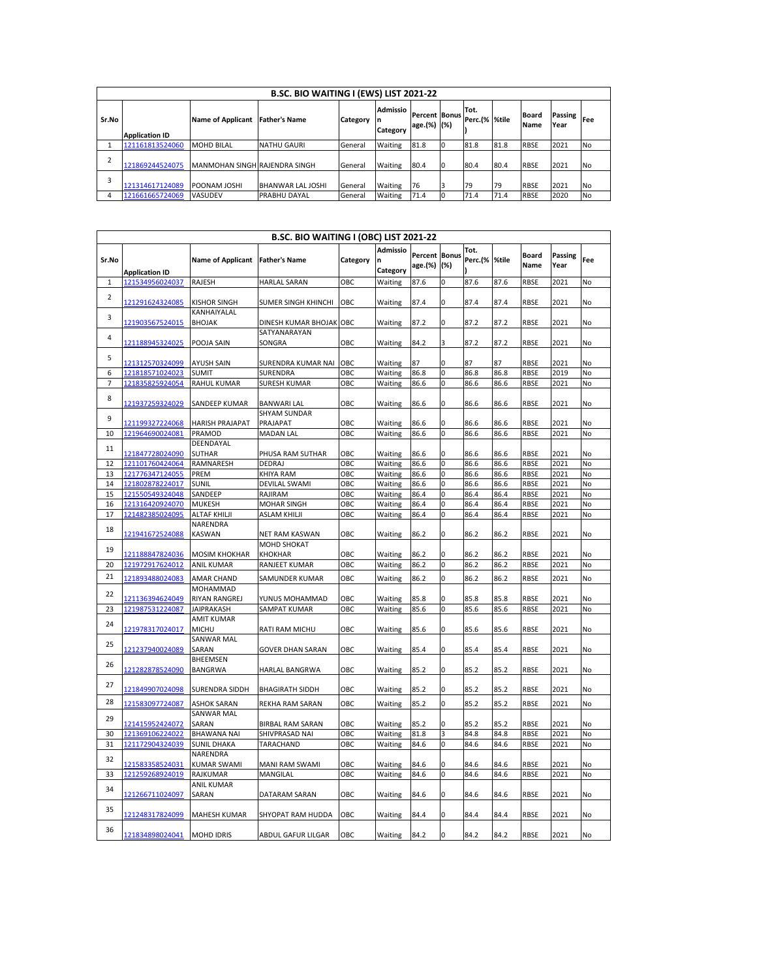| B.SC. BIO WAITING I (EWS) LIST 2021-22 |                       |                               |                          |          |                                   |                                     |    |                       |      |                             |                        |           |
|----------------------------------------|-----------------------|-------------------------------|--------------------------|----------|-----------------------------------|-------------------------------------|----|-----------------------|------|-----------------------------|------------------------|-----------|
| Sr.No                                  | <b>Application ID</b> | <b>Name of Applicant</b>      | <b>Father's Name</b>     | Category | <b>Admissio</b><br>ın<br>Category | <b>Percent Bonus</b><br>age.(%) (%) |    | Tot.<br>Perc.(% %tile |      | <b>Board</b><br><b>Name</b> | <b>Passing</b><br>Year | Fee       |
|                                        | 121161813524060       | <b>MOHD BILAL</b>             | <b>NATHU GAURI</b>       | General  | Waiting                           | 81.8                                |    | 81.8                  | 81.8 | <b>RBSE</b>                 | 2021                   | No.       |
|                                        | 121869244524075       | MANMOHAN SINGH RAJENDRA SINGH |                          | General  | Waiting                           | 80.4                                | 10 | 80.4                  | 80.4 | <b>RBSE</b>                 | 2021                   | <b>No</b> |
| 3                                      | 121314617124089       | <b>POONAM JOSHI</b>           | <b>BHANWAR LAL JOSHI</b> | General  | Waiting                           | 76                                  |    | 79                    | 79   | <b>RBSE</b>                 | 2021                   | <b>No</b> |
|                                        | 121661665724069       | <b>VASUDEV</b>                | <b>PRABHU DAYAL</b>      | General  | Waiting                           | 71.4                                |    | 71.4                  | 71.4 | <b>RBSE</b>                 | 2020                   | <b>No</b> |

| <b>B.SC. BIO WAITING I (OBC) LIST 2021-22</b> |                       |                                                        |                                      |          |                      |                                     |                |                       |      |                      |                        |     |
|-----------------------------------------------|-----------------------|--------------------------------------------------------|--------------------------------------|----------|----------------------|-------------------------------------|----------------|-----------------------|------|----------------------|------------------------|-----|
| Sr.No                                         | <b>Application ID</b> | <b>Name of Applicant</b>                               | <b>Father's Name</b>                 | Category | Admissio<br>Category | <b>Percent Bonus</b><br>age.(%) (%) |                | Tot.<br>Perc.(% %tile |      | <b>Board</b><br>Name | <b>Passing</b><br>Year | Fee |
| $\mathbf 1$                                   | 121534956024037       | RAJESH                                                 | <b>HARLAL SARAN</b>                  | OBC      | Waiting              | 87.6                                | 0              | 87.6                  | 87.6 | RBSE                 | 2021                   | No  |
| $\overline{2}$                                | 121291624324085       | KISHOR SINGH                                           | SUMER SINGH KHINCHI                  | OBC      | Waiting              | 87.4                                | 0              | 87.4                  | 87.4 | RBSE                 | 2021                   | No  |
| 3                                             | 121903567524015       | KANHAIYALAL<br><b>BHOJAK</b>                           | DINESH KUMAR BHOJAK                  | OBC      | Waiting              | 87.2                                | 0              | 87.2                  | 87.2 | RBSE                 | 2021                   | No  |
| 4                                             | 121188945324025       | POOJA SAIN                                             | SATYANARAYAN<br>SONGRA               | ОВС      | Waiting              | 84.2                                | 3              | 87.2                  | 87.2 | RBSE                 | 2021                   | No  |
| 5                                             | 121312570324099       | AYUSH SAIN                                             | SURENDRA KUMAR NAI                   | OBC      | Waiting              | 87                                  | 0              | 87                    | 87   | <b>RBSE</b>          | 2021                   | No  |
| 6                                             | 121818571024023       | <b>SUMIT</b>                                           | SURENDRA                             | OBC      | Waiting              | 86.8                                | $\mathbf 0$    | 86.8                  | 86.8 | <b>RBSE</b>          | 2019                   | No  |
| $\overline{7}$                                | 121835825924054       | RAHUL KUMAR                                            | <b>SURESH KUMAR</b>                  | OBC      | Waiting              | 86.6                                | 0              | 86.6                  | 86.6 | RBSE                 | 2021                   | No  |
| 8                                             | 121937259324029       | SANDEEP KUMAR                                          | <b>BANWARI LAL</b>                   | OBC      | Waiting              | 86.6                                | 0              | 86.6                  | 86.6 | RBSE                 | 2021                   | No  |
| 9                                             | 121199327224068       | HARISH PRAJAPAT                                        | SHYAM SUNDAR<br>PRAJAPAT             | OBC      | Waiting              | 86.6                                | 0              | 86.6                  | 86.6 | RBSE                 | 2021                   | No  |
| 10                                            | 121964690024081       | PRAMOD                                                 | <b>MADAN LAL</b>                     | OBC      | Waiting              | 86.6                                | 0              | 86.6                  | 86.6 | RBSE                 | 2021                   | No  |
| 11                                            | 121847728024090       | DEENDAYAL<br><b>SUTHAR</b>                             | PHUSA RAM SUTHAR                     | OBC      | Waiting              | 86.6                                | 0              | 86.6                  | 86.6 | RBSE                 | 2021                   | No  |
| 12                                            | 121101760424064       | RAMNARESH                                              | DEDRAJ                               | OBC      | Waiting              | 86.6                                | 0              | 86.6                  | 86.6 | <b>RBSE</b>          | 2021                   | No  |
| 13                                            | 121776347124055       | PREM                                                   | KHIYA RAM                            | ОВС      | Waiting              | 86.6                                | 0              | 86.6                  | 86.6 | RBSE                 | 2021                   | No  |
| 14                                            | 121802878224017       | SUNIL                                                  | <b>DEVILAL SWAMI</b>                 | OBC      | Waiting              | 86.6                                | 0              | 86.6                  | 86.6 | RBSE                 | 2021                   | No  |
| 15                                            | 121550549324048       | SANDEEP                                                | RAJIRAM                              | ОВС      | Waiting              | 86.4                                | 0              | 86.4                  | 86.4 | RBSE                 | 2021                   | No  |
| 16                                            | 121316420924070       | <b>MUKESH</b>                                          | <b>MOHAR SINGH</b>                   | ОВС      | Waiting              | 86.4                                | 0              | 86.4                  | 86.4 | RBSE                 | 2021                   | No  |
| 17                                            | 121482385024095       | ALTAF KHILJI                                           | ASLAM KHILJI                         | OBC      | Waiting              | 86.4                                | $\overline{0}$ | 86.4                  | 86.4 | RBSE                 | 2021                   | No  |
| 18                                            | 121941672524088       | NARENDRA<br><b>KASWAN</b>                              | NET RAM KASWAN                       | OBC      | Waiting              | 86.2                                | 0              | 86.2                  | 86.2 | <b>RBSE</b>          | 2021                   | No  |
| 19                                            | 121188847824036       | <b>MOSIM KHOKHAR</b>                                   | <b>МОНD SHOKAT</b><br><b>KHOKHAR</b> | OBC      | Waiting              | 86.2                                | 0              | 86.2                  | 86.2 | RBSE                 | 2021                   | No  |
| 20                                            | 121972917624012       | <b>ANIL KUMAR</b>                                      | RANJEET KUMAR                        | ОВС      | Waiting              | 86.2                                | 0              | 86.2                  | 86.2 | RBSE                 | 2021                   | No  |
| 21                                            | 121893488024083       | <b>AMAR CHAND</b><br>MOHAMMAD                          | SAMUNDER KUMAR                       | OBC      | Waiting              | 86.2                                | 0              | 86.2                  | 86.2 | <b>RBSE</b>          | 2021                   | No  |
| 22                                            | 121136394624049       | <b>RIYAN RANGREJ</b>                                   |                                      | OBC      |                      |                                     |                | 85.8                  | 85.8 | <b>RBSE</b>          | 2021                   | No  |
|                                               |                       |                                                        | YUNUS MOHAMMAD                       |          | Waiting              | 85.8                                | 0              |                       |      |                      |                        |     |
| 23                                            | 121987531224087       | <b>JAIPRAKASH</b>                                      | <b>SAMPAT KUMAR</b>                  | OBC      | Waiting              | 85.6                                | $\mathbf 0$    | 85.6                  | 85.6 | <b>RBSE</b>          | 2021                   | No  |
| 24                                            | 121978317024017       | <b>AMIT KUMAR</b><br><b>MICHU</b><br><b>SANWAR MAL</b> | RATI RAM MICHU                       | OBC      | Waiting              | 85.6                                | 0              | 85.6                  | 85.6 | RBSE                 | 2021                   | No  |
| 25                                            | 121237940024089       | SARAN                                                  | <b>GOVER DHAN SARAN</b>              | ОВС      | Waiting              | 85.4                                | 0              | 85.4                  | 85.4 | <b>RBSE</b>          | 2021                   | No  |
| 26                                            |                       | <b>BHEEMSEN</b>                                        |                                      |          |                      |                                     |                |                       |      |                      |                        |     |
|                                               | 121282878524090       | <b>BANGRWA</b>                                         | HARLAL BANGRWA                       | ОВС      | Waiting              | 85.2                                | 0              | 85.2                  | 85.2 | <b>RBSE</b>          | 2021                   | No  |
| 27                                            | 121849907024098       | <b>SURENDRA SIDDH</b>                                  | <b>BHAGIRATH SIDDH</b>               | ОВС      | Waiting              | 85.2                                | 0              | 85.2                  | 85.2 | <b>RBSE</b>          | 2021                   | No  |
| 28                                            | 121583097724087       | ASHOK SARAN                                            | REKHA RAM SARAN                      | ОВС      | Waiting              | 85.2                                | 0              | 85.2                  | 85.2 | RBSE                 | 2021                   | No  |
| 29                                            | 121415952424072       | SANWAR MAL<br>SARAN                                    | BIRBAL RAM SARAN                     | ОВС      | Waiting              | 85.2                                | 0              | 85.2                  | 85.2 | RBSE                 | 2021                   | No  |
| 30                                            | 121369106224022       | <b>BHAWANA NAI</b>                                     | SHIVPRASAD NAI                       | ОВС      | Waiting              | 81.8                                | 3              | 84.8                  | 84.8 | RBSE                 | 2021                   | No  |
| 31                                            | 121172904324039       | <b>SUNIL DHAKA</b>                                     | TARACHAND                            | ОВС      | Waiting              | 84.6                                | 0              | 84.6                  | 84.6 | RBSE                 | 2021                   | No  |
| 32                                            | 121583358524031       | NARENDRA<br><b>KUMAR SWAMI</b>                         | MANI RAM SWAMI                       | ОВС      | Waiting              | 84.6                                | 0              | 84.6                  | 84.6 | RBSE                 | 2021                   | No  |
| 33                                            | 121259268924019       | RAJKUMAR                                               | MANGILAL                             | ОВС      | Waiting              | 84.6                                | 0              | 84.6                  | 84.6 | <b>RBSE</b>          | 2021                   | No  |
|                                               |                       | <b>ANIL KUMAR</b>                                      |                                      |          |                      |                                     |                |                       |      |                      |                        |     |
| 34                                            | 121266711024097       | SARAN                                                  | DATARAM SARAN                        | ОВС      | Waiting              | 84.6                                | 0              | 84.6                  | 84.6 | RBSE                 | 2021                   | No  |
| 35                                            | 121248317824099       | <b>MAHESH KUMAR</b>                                    | SHYOPAT RAM HUDDA                    | OBC      | Waiting              | 84.4                                | 0              | 84.4                  | 84.4 | RBSE                 | 2021                   | No  |
| 36                                            | 121834898024041       | <b>MOHD IDRIS</b>                                      | ABDUL GAFUR LILGAR                   | OBC      | Waiting              | 84.2                                | 0              | 84.2                  | 84.2 | <b>RBSE</b>          | 2021                   | No  |